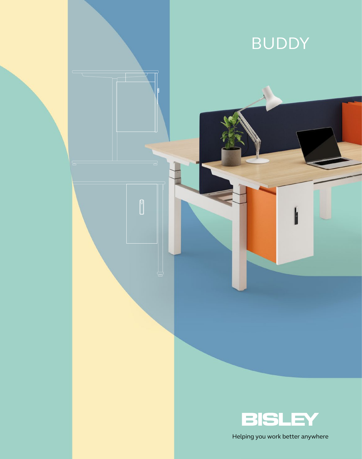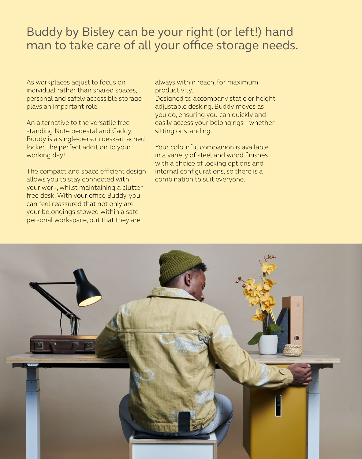# Buddy by Bisley can be your right (or left!) hand man to take care of all your office storage needs.

As workplaces adjust to focus on individual rather than shared spaces, personal and safely accessible storage plays an important role.

An alternative to the versatile freestanding Note pedestal and Caddy, Buddy is a single-person desk-attached locker, the perfect addition to your working day!

The compact and space efficient design allows you to stay connected with your work, whilst maintaining a clutter free desk. With your office Buddy, you can feel reassured that not only are your belongings stowed within a safe personal workspace, but that they are

always within reach, for maximum productivity.

Designed to accompany static or height adjustable desking, Buddy moves as you do, ensuring you can quickly and easily access your belongings – whether sitting or standing.

Your colourful companion is available in a variety of steel and wood finishes with a choice of locking options and internal configurations, so there is a combination to suit everyone.

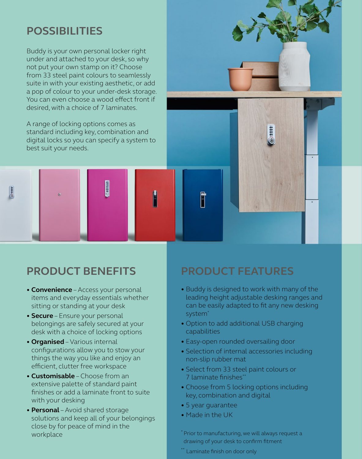# **POSSIBILITIES**

 $\frac{1}{6}$ 

Buddy is your own personal locker right under and attached to your desk, so why not put your own stamp on it? Choose from 33 steel paint colours to seamlessly suite in with your existing aesthetic, or add a pop of colour to your under-desk storage. You can even choose a wood effect front if desired, with a choice of 7 laminates.

A range of locking options comes as standard including key, combination and digital locks so you can specify a system to best suit your needs.

**CONBIGGER** 

- **Convenience** Access your personal items and everyday essentials whether sitting or standing at your desk
- **Secure** Ensure your personal belongings are safely secured at your desk with a choice of locking options
- **Organised** Various internal configurations allow you to stow your things the way you like and enjoy an efficient, clutter free workspace
- **Customisable** Choose from an extensive palette of standard paint finishes or add a laminate front to suite with your desking
- **Personal** Avoid shared storage solutions and keep all of your belongings close by for peace of mind in the workplace

## **PRODUCT BENEFITS PRODUCT FEATURES**

- Buddy is designed to work with many of the leading height adjustable desking ranges and can be easily adapted to fit any new desking system<sup>\*</sup>
- Option to add additional USB charging capabilities
- Easy-open rounded oversailing door
- Selection of internal accessories including non-slip rubber mat
- Select from 33 steel paint colours or 7 laminate finishes\*\*
- Choose from 5 locking options including key, combination and digital
- 5 year guarantee
- Made in the UK

F

\* Prior to manufacturing, we will always request a drawing of your desk to confirm fitment

\*\* Laminate finish on door only